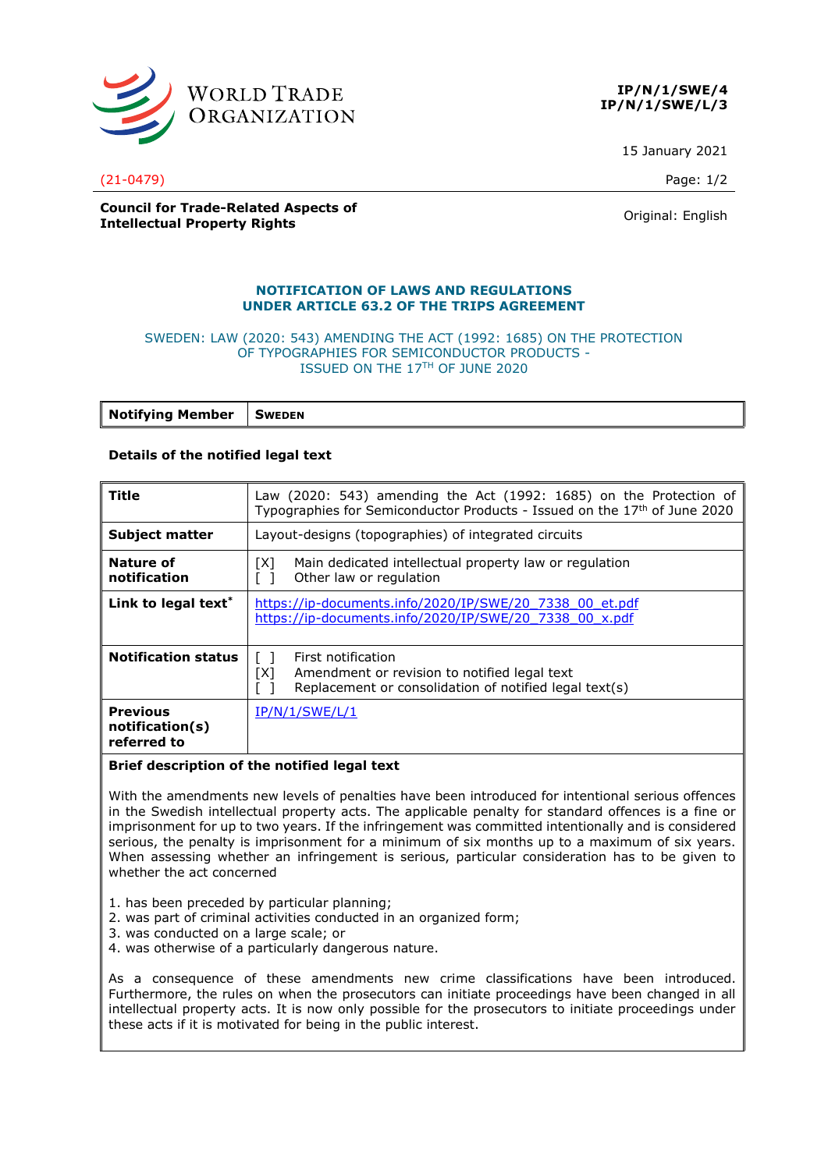

**IP/N/1/SWE/4 IP/N/1/SWE/L/3**

15 January 2021

### **Council for Trade-Related Aspects of Intellectual Property Rights Council Council Council Council Council** Criginal: English

# **NOTIFICATION OF LAWS AND REGULATIONS UNDER ARTICLE 63.2 OF THE TRIPS AGREEMENT**

#### SWEDEN: LAW (2020: 543) AMENDING THE ACT (1992: 1685) ON THE PROTECTION OF TYPOGRAPHIES FOR SEMICONDUCTOR PRODUCTS - ISSUED ON THE 17TH OF JUNE 2020

| <b>Notifying Member</b> | <b>SWEDEN</b> |
|-------------------------|---------------|
|-------------------------|---------------|

## **Details of the notified legal text**

| Title                                             | Law (2020: 543) amending the Act (1992: 1685) on the Protection of<br>Typographies for Semiconductor Products - Issued on the 17 <sup>th</sup> of June 2020 |
|---------------------------------------------------|-------------------------------------------------------------------------------------------------------------------------------------------------------------|
| <b>Subject matter</b>                             | Layout-designs (topographies) of integrated circuits                                                                                                        |
| Nature of<br>notification                         | Main dedicated intellectual property law or regulation<br>[X]<br>Other law or regulation                                                                    |
| Link to legal text <sup>*</sup>                   | https://ip-documents.info/2020/IP/SWE/20 7338 00 et.pdf<br>https://ip-documents.info/2020/IP/SWE/20 7338 00 x.pdf                                           |
| <b>Notification status</b>                        | First notification<br>[X]<br>Amendment or revision to notified legal text<br>Replacement or consolidation of notified legal text(s)                         |
| <b>Previous</b><br>notification(s)<br>referred to | IP/N/1/SWE/L/1                                                                                                                                              |

### **Brief description of the notified legal text**

With the amendments new levels of penalties have been introduced for intentional serious offences in the Swedish intellectual property acts. The applicable penalty for standard offences is a fine or imprisonment for up to two years. If the infringement was committed intentionally and is considered serious, the penalty is imprisonment for a minimum of six months up to a maximum of six years. When assessing whether an infringement is serious, particular consideration has to be given to whether the act concerned

- 1. has been preceded by particular planning;
- 2. was part of criminal activities conducted in an organized form;
- 3. was conducted on a large scale; or
- 4. was otherwise of a particularly dangerous nature.

As a consequence of these amendments new crime classifications have been introduced. Furthermore, the rules on when the prosecutors can initiate proceedings have been changed in all intellectual property acts. It is now only possible for the prosecutors to initiate proceedings under these acts if it is motivated for being in the public interest.

(21-0479) Page: 1/2